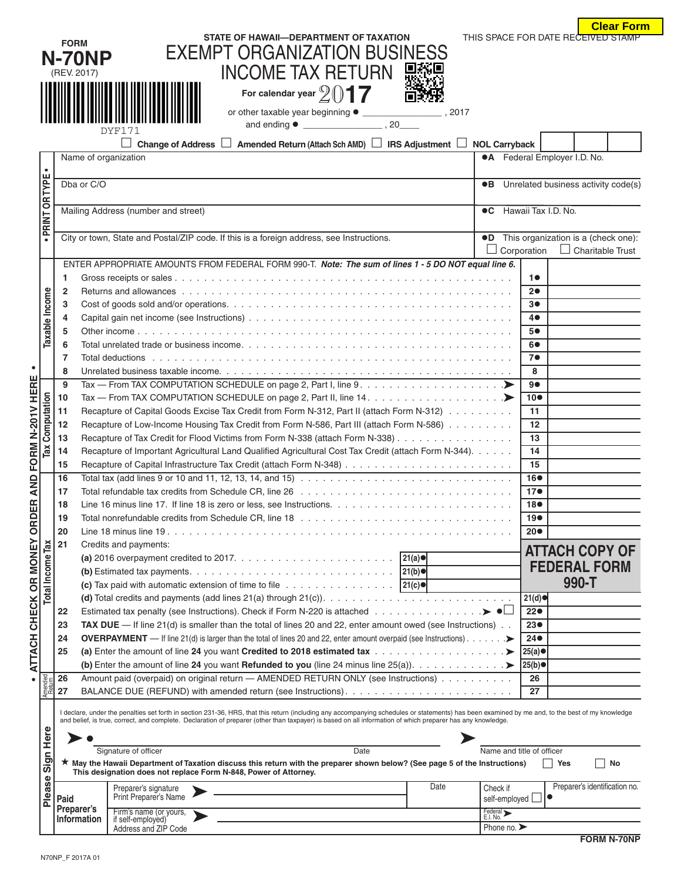|                  |                                                                                                                                                                                                                                                                                                                                                               |                                                                                                                                             |                                                                                                                                                                                                                                |                        |                           |                     |                                            | <b>Clear Form</b>                   |  |  |  |
|------------------|---------------------------------------------------------------------------------------------------------------------------------------------------------------------------------------------------------------------------------------------------------------------------------------------------------------------------------------------------------------|---------------------------------------------------------------------------------------------------------------------------------------------|--------------------------------------------------------------------------------------------------------------------------------------------------------------------------------------------------------------------------------|------------------------|---------------------------|---------------------|--------------------------------------------|-------------------------------------|--|--|--|
|                  | <b>FORM</b>                                                                                                                                                                                                                                                                                                                                                   |                                                                                                                                             | STATE OF HAWAII-DEPARTMENT OF TAXATION                                                                                                                                                                                         |                        |                           |                     | THIS SPACE FOR DATE RECEIVED STAMP         |                                     |  |  |  |
|                  |                                                                                                                                                                                                                                                                                                                                                               |                                                                                                                                             | <b>EXEMPT ORGANIZATION BUSINESS</b>                                                                                                                                                                                            |                        |                           |                     |                                            |                                     |  |  |  |
|                  | <b>N-70NP</b><br><b>INCOME TAX RETURN</b><br>(REV. 2017)                                                                                                                                                                                                                                                                                                      |                                                                                                                                             |                                                                                                                                                                                                                                |                        |                           |                     |                                            |                                     |  |  |  |
|                  |                                                                                                                                                                                                                                                                                                                                                               |                                                                                                                                             |                                                                                                                                                                                                                                |                        |                           |                     |                                            |                                     |  |  |  |
|                  | For calendar year $2017$                                                                                                                                                                                                                                                                                                                                      |                                                                                                                                             |                                                                                                                                                                                                                                |                        |                           |                     |                                            |                                     |  |  |  |
|                  |                                                                                                                                                                                                                                                                                                                                                               |                                                                                                                                             |                                                                                                                                                                                                                                |                        |                           |                     |                                            |                                     |  |  |  |
|                  |                                                                                                                                                                                                                                                                                                                                                               |                                                                                                                                             | DYF171                                                                                                                                                                                                                         |                        |                           |                     |                                            |                                     |  |  |  |
|                  |                                                                                                                                                                                                                                                                                                                                                               |                                                                                                                                             | ш<br>Amended Return (Attach Sch AMD)   IRS Adjustment   NOL Carryback<br>Change of Address                                                                                                                                     |                        |                           |                     |                                            |                                     |  |  |  |
|                  | Name of organization                                                                                                                                                                                                                                                                                                                                          |                                                                                                                                             |                                                                                                                                                                                                                                |                        |                           |                     | <b>•A</b> Federal Employer I.D. No.        |                                     |  |  |  |
| $\bullet$        |                                                                                                                                                                                                                                                                                                                                                               |                                                                                                                                             |                                                                                                                                                                                                                                |                        |                           |                     |                                            |                                     |  |  |  |
| PRINT OR TYPE    |                                                                                                                                                                                                                                                                                                                                                               | Dba or C/O<br>$\bullet$ B                                                                                                                   |                                                                                                                                                                                                                                |                        |                           |                     | Unrelated business activity code(s)        |                                     |  |  |  |
|                  |                                                                                                                                                                                                                                                                                                                                                               | Mailing Address (number and street)<br>$\bullet$ C                                                                                          |                                                                                                                                                                                                                                |                        |                           |                     |                                            | Hawaii Tax I.D. No.                 |  |  |  |
|                  |                                                                                                                                                                                                                                                                                                                                                               |                                                                                                                                             |                                                                                                                                                                                                                                |                        |                           |                     |                                            |                                     |  |  |  |
|                  |                                                                                                                                                                                                                                                                                                                                                               | City or town, State and Postal/ZIP code. If this is a foreign address, see Instructions.<br>$\bullet$ D                                     |                                                                                                                                                                                                                                |                        |                           |                     |                                            | This organization is a (check one): |  |  |  |
|                  |                                                                                                                                                                                                                                                                                                                                                               | Corporation                                                                                                                                 |                                                                                                                                                                                                                                |                        |                           |                     | $\Box$ Charitable Trust                    |                                     |  |  |  |
|                  |                                                                                                                                                                                                                                                                                                                                                               |                                                                                                                                             | ENTER APPROPRIATE AMOUNTS FROM FEDERAL FORM 990-T. Note: The sum of lines 1 - 5 DO NOT equal line 6.                                                                                                                           |                        |                           |                     |                                            |                                     |  |  |  |
|                  | 1                                                                                                                                                                                                                                                                                                                                                             |                                                                                                                                             |                                                                                                                                                                                                                                |                        |                           | 10                  |                                            |                                     |  |  |  |
|                  | $\overline{2}$                                                                                                                                                                                                                                                                                                                                                |                                                                                                                                             | Returns and allowances experience is a series of the series of the series of the series of the series of the series of the series of the series of the series of the series of the series of the series of the series of the s |                        |                           | 20                  |                                            |                                     |  |  |  |
|                  | 3                                                                                                                                                                                                                                                                                                                                                             |                                                                                                                                             |                                                                                                                                                                                                                                |                        |                           | 3●                  |                                            |                                     |  |  |  |
|                  | 4                                                                                                                                                                                                                                                                                                                                                             |                                                                                                                                             |                                                                                                                                                                                                                                |                        |                           | $4\bullet$          |                                            |                                     |  |  |  |
| Taxable Income   | 5<br>6                                                                                                                                                                                                                                                                                                                                                        |                                                                                                                                             |                                                                                                                                                                                                                                |                        |                           | 5●<br>60            |                                            |                                     |  |  |  |
|                  | 7                                                                                                                                                                                                                                                                                                                                                             |                                                                                                                                             |                                                                                                                                                                                                                                |                        |                           | 7●                  |                                            |                                     |  |  |  |
|                  | 8                                                                                                                                                                                                                                                                                                                                                             |                                                                                                                                             |                                                                                                                                                                                                                                |                        |                           | 8                   |                                            |                                     |  |  |  |
|                  | 9                                                                                                                                                                                                                                                                                                                                                             |                                                                                                                                             |                                                                                                                                                                                                                                |                        |                           | 9●                  |                                            |                                     |  |  |  |
|                  | 10                                                                                                                                                                                                                                                                                                                                                            |                                                                                                                                             | Tax — From TAX COMPUTATION SCHEDULE on page 2, Part II, line 14. $\dots \dots \dots \dots \dots \dots \dots$                                                                                                                   |                        |                           | $10\bullet$         |                                            |                                     |  |  |  |
|                  | 11                                                                                                                                                                                                                                                                                                                                                            |                                                                                                                                             | Recapture of Capital Goods Excise Tax Credit from Form N-312, Part II (attach Form N-312)                                                                                                                                      |                        |                           | 11                  |                                            |                                     |  |  |  |
| Computation      | Recapture of Low-Income Housing Tax Credit from Form N-586, Part III (attach Form N-586)<br>12                                                                                                                                                                                                                                                                |                                                                                                                                             |                                                                                                                                                                                                                                |                        |                           | 12<br>13            |                                            |                                     |  |  |  |
| Гaх              |                                                                                                                                                                                                                                                                                                                                                               | Recapture of Tax Credit for Flood Victims from Form N-338 (attach Form N-338)<br>13                                                         |                                                                                                                                                                                                                                |                        |                           |                     |                                            |                                     |  |  |  |
|                  | 14<br>15                                                                                                                                                                                                                                                                                                                                                      |                                                                                                                                             | Recapture of Important Agricultural Land Qualified Agricultural Cost Tax Credit (attach Form N-344).                                                                                                                           |                        |                           | 14<br>15            |                                            |                                     |  |  |  |
|                  | Total tax (add lines 9 or 10 and 11, 12, 13, 14, and 15) $\ldots \ldots \ldots \ldots \ldots \ldots \ldots \ldots \ldots \ldots$<br>16                                                                                                                                                                                                                        |                                                                                                                                             |                                                                                                                                                                                                                                |                        |                           |                     |                                            |                                     |  |  |  |
| Í                | 17                                                                                                                                                                                                                                                                                                                                                            |                                                                                                                                             |                                                                                                                                                                                                                                | 16●<br>17 <sub>•</sub> |                           |                     |                                            |                                     |  |  |  |
| 5                | 18                                                                                                                                                                                                                                                                                                                                                            |                                                                                                                                             |                                                                                                                                                                                                                                |                        |                           |                     |                                            |                                     |  |  |  |
|                  | 19                                                                                                                                                                                                                                                                                                                                                            |                                                                                                                                             |                                                                                                                                                                                                                                |                        |                           |                     |                                            |                                     |  |  |  |
|                  | 20                                                                                                                                                                                                                                                                                                                                                            |                                                                                                                                             |                                                                                                                                                                                                                                |                        |                           |                     |                                            |                                     |  |  |  |
|                  |                                                                                                                                                                                                                                                                                                                                                               | 21<br>Credits and payments:                                                                                                                 |                                                                                                                                                                                                                                |                        |                           |                     |                                            | <b>ATTACH COPY OF</b>               |  |  |  |
| 2<br>-<br>7      |                                                                                                                                                                                                                                                                                                                                                               |                                                                                                                                             |                                                                                                                                                                                                                                |                        |                           | <b>FEDERAL FORM</b> |                                            |                                     |  |  |  |
| Total Income Tax |                                                                                                                                                                                                                                                                                                                                                               | (c) Tax paid with automatic extension of time to file $\ldots \ldots \ldots \ldots \ldots$   21(c) $\bullet$                                |                                                                                                                                                                                                                                |                        |                           |                     |                                            |                                     |  |  |  |
|                  |                                                                                                                                                                                                                                                                                                                                                               |                                                                                                                                             |                                                                                                                                                                                                                                |                        |                           |                     |                                            |                                     |  |  |  |
|                  | 22                                                                                                                                                                                                                                                                                                                                                            |                                                                                                                                             |                                                                                                                                                                                                                                |                        |                           | 21(d)<br>22●        |                                            |                                     |  |  |  |
|                  | 23                                                                                                                                                                                                                                                                                                                                                            | TAX DUE - If line $21(d)$ is smaller than the total of lines 20 and 22, enter amount owed (see Instructions)                                |                                                                                                                                                                                                                                |                        |                           |                     |                                            |                                     |  |  |  |
|                  | 24                                                                                                                                                                                                                                                                                                                                                            | OVERPAYMENT — If line 21(d) is larger than the total of lines 20 and 22, enter amount overpaid (see Instructions). >                        |                                                                                                                                                                                                                                |                        |                           |                     |                                            |                                     |  |  |  |
| $\frac{1}{2}$    | 25                                                                                                                                                                                                                                                                                                                                                            |                                                                                                                                             |                                                                                                                                                                                                                                |                        |                           | 25(a) ●             |                                            |                                     |  |  |  |
|                  |                                                                                                                                                                                                                                                                                                                                                               |                                                                                                                                             | (b) Enter the amount of line 24 you want Refunded to you (line 24 minus line 25(a)). ><br>Amount paid (overpaid) on original return - AMENDED RETURN ONLY (see Instructions)                                                   |                        |                           | 25(b)<br>26         |                                            |                                     |  |  |  |
| Amended          | 26<br>27                                                                                                                                                                                                                                                                                                                                                      |                                                                                                                                             |                                                                                                                                                                                                                                |                        |                           | 27                  |                                            |                                     |  |  |  |
|                  |                                                                                                                                                                                                                                                                                                                                                               |                                                                                                                                             |                                                                                                                                                                                                                                |                        |                           |                     |                                            |                                     |  |  |  |
|                  | I declare, under the penalties set forth in section 231-36, HRS, that this return (including any accompanying schedules or statements) has been examined by me and, to the best of my knowledge<br>and belief, is true, correct, and complete. Declaration of preparer (other than taxpayer) is based on all information of which preparer has any knowledge. |                                                                                                                                             |                                                                                                                                                                                                                                |                        |                           |                     |                                            |                                     |  |  |  |
|                  |                                                                                                                                                                                                                                                                                                                                                               |                                                                                                                                             |                                                                                                                                                                                                                                |                        |                           |                     |                                            |                                     |  |  |  |
|                  |                                                                                                                                                                                                                                                                                                                                                               | Signature of officer<br>Date<br>Name and title of officer                                                                                   |                                                                                                                                                                                                                                |                        |                           |                     |                                            |                                     |  |  |  |
| Sign Here        |                                                                                                                                                                                                                                                                                                                                                               | ★ May the Hawaii Department of Taxation discuss this return with the preparer shown below? (See page 5 of the Instructions)<br>∣ ∣Yes<br>No |                                                                                                                                                                                                                                |                        |                           |                     |                                            |                                     |  |  |  |
|                  |                                                                                                                                                                                                                                                                                                                                                               |                                                                                                                                             | This designation does not replace Form N-848, Power of Attorney.                                                                                                                                                               |                        |                           |                     |                                            |                                     |  |  |  |
| Please           | Paid                                                                                                                                                                                                                                                                                                                                                          |                                                                                                                                             | Preparer's signature<br>Print Preparer's Name                                                                                                                                                                                  | Date                   | Check if<br>self-employed |                     | Preparer's identification no.<br>$\bullet$ |                                     |  |  |  |
|                  | Preparer's                                                                                                                                                                                                                                                                                                                                                    |                                                                                                                                             | Firm's name (or yours,                                                                                                                                                                                                         |                        | Federal ><br>E.I. No.     |                     |                                            |                                     |  |  |  |
|                  |                                                                                                                                                                                                                                                                                                                                                               | Information                                                                                                                                 | if self-employed)<br>Phone no. $\blacktriangleright$<br>Address and ZIP Code                                                                                                                                                   |                        |                           |                     |                                            |                                     |  |  |  |